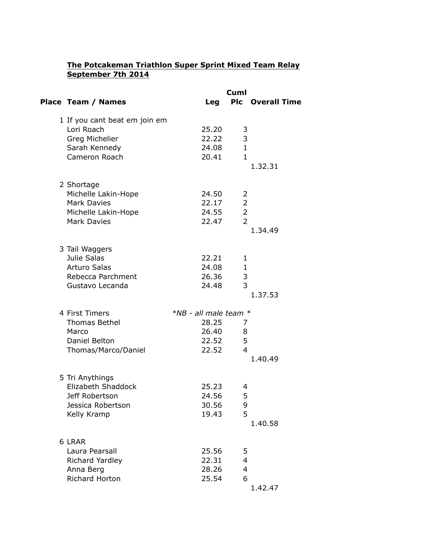## **The Potcakeman Triathlon Super Sprint Mixed Team Relay September 7th 2014**

|                               |                           | Cuml           |                         |  |
|-------------------------------|---------------------------|----------------|-------------------------|--|
| Place Team / Names            | Leg                       |                | <b>Plc</b> Overall Time |  |
| 1 If you cant beat em join em |                           |                |                         |  |
| Lori Roach                    | 25.20                     | 3              |                         |  |
| Greg Michelier                | 22.22                     | 3              |                         |  |
| Sarah Kennedy                 | 24.08                     | $\mathbf{1}$   |                         |  |
| Cameron Roach                 | 20.41                     | $\mathbf{1}$   |                         |  |
|                               |                           |                | 1.32.31                 |  |
| 2 Shortage                    |                           |                |                         |  |
| Michelle Lakin-Hope           | 24.50                     | 2              |                         |  |
| <b>Mark Davies</b>            | 22.17                     | $\overline{2}$ |                         |  |
| Michelle Lakin-Hope           | 24.55                     | $\overline{2}$ |                         |  |
| Mark Davies                   | 22.47                     | $\overline{2}$ |                         |  |
|                               |                           |                | 1.34.49                 |  |
|                               |                           |                |                         |  |
| 3 Tail Waggers                |                           |                |                         |  |
| Julie Salas                   | 22.21                     | 1              |                         |  |
| <b>Arturo Salas</b>           | 24.08                     | $\mathbf{1}$   |                         |  |
| Rebecca Parchment             | 26.36                     | 3              |                         |  |
| Gustavo Lecanda               | 24.48                     | 3              |                         |  |
|                               |                           |                | 1.37.53                 |  |
|                               |                           |                |                         |  |
| 4 First Timers                | $*NB$ - all male team $*$ |                |                         |  |
| <b>Thomas Bethel</b>          | 28.25                     | 7              |                         |  |
| Marco                         | 26.40 8                   |                |                         |  |
| Daniel Belton                 | 22.52                     | 5              |                         |  |
| Thomas/Marco/Daniel           | 22.52                     | $\overline{4}$ |                         |  |
|                               |                           |                | 1.40.49                 |  |
| 5 Tri Anythings               |                           |                |                         |  |
| Elizabeth Shaddock            | 25.23                     | 4              |                         |  |
| Jeff Robertson                | 24.56                     | 5              |                         |  |
| Jessica Robertson             | 30.56                     | 9              |                         |  |
| Kelly Kramp                   | 19.43                     | 5              |                         |  |
|                               |                           |                | 1.40.58                 |  |
| 6 LRAR                        |                           |                |                         |  |
| Laura Pearsall                | 25.56                     | 5              |                         |  |
| Richard Yardley               | 22.31                     | 4              |                         |  |
| Anna Berg                     | 28.26                     | $\overline{4}$ |                         |  |
| Richard Horton                | 25.54                     | 6              |                         |  |
|                               |                           |                | 1.42.47                 |  |